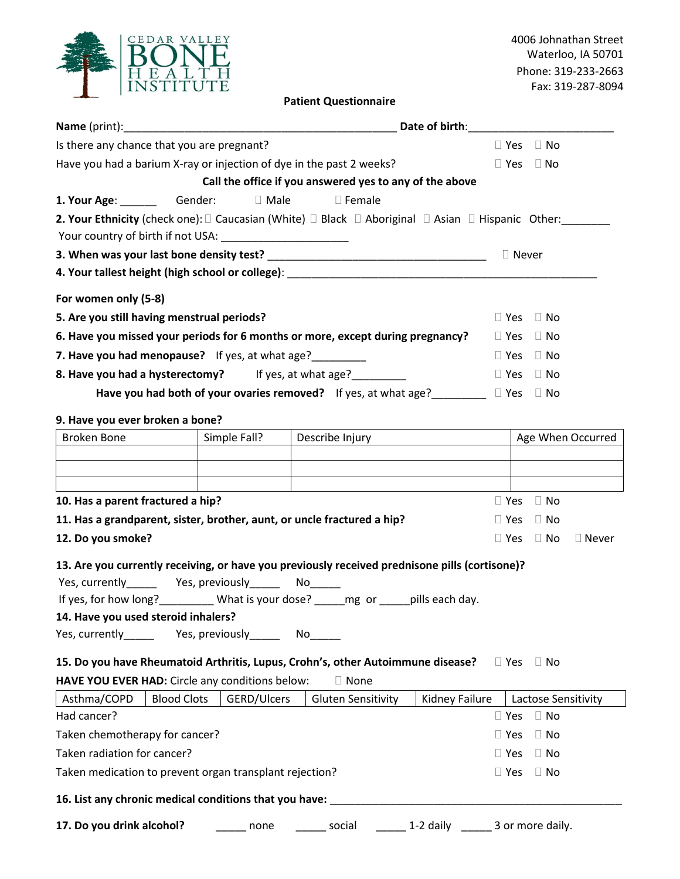| CEDAR VALLEY<br>E<br><b>INSTITUTE</b> |
|---------------------------------------|
|                                       |

4006 Johnathan Street Waterloo, IA 50701 Phone: 319-233-2663 Fax: 319-287-8094

# **Patient Questionnaire**

| Is there any chance that you are pregnant?                                                                                                                           |              |                                                         |                       |                            | $\Box$ Yes $\Box$ No |                   |  |
|----------------------------------------------------------------------------------------------------------------------------------------------------------------------|--------------|---------------------------------------------------------|-----------------------|----------------------------|----------------------|-------------------|--|
| Have you had a barium X-ray or injection of dye in the past 2 weeks?                                                                                                 |              |                                                         |                       |                            | $\Box$ Yes $\Box$ No |                   |  |
|                                                                                                                                                                      |              | Call the office if you answered yes to any of the above |                       |                            |                      |                   |  |
| 1. Your Age: ______________Gender: I Male I Female                                                                                                                   |              |                                                         |                       |                            |                      |                   |  |
| <b>2. Your Ethnicity</b> (check one): $\square$ Caucasian (White) $\square$ Black $\square$ Aboriginal $\square$ Asian $\square$ Hispanic Other:                     |              |                                                         |                       |                            |                      |                   |  |
| Your country of birth if not USA: ________________________                                                                                                           |              |                                                         |                       |                            |                      |                   |  |
|                                                                                                                                                                      |              |                                                         |                       | □ Never                    |                      |                   |  |
|                                                                                                                                                                      |              |                                                         |                       |                            |                      |                   |  |
| For women only (5-8)                                                                                                                                                 |              |                                                         |                       |                            |                      |                   |  |
| 5. Are you still having menstrual periods?                                                                                                                           |              |                                                         |                       | $\square$ Yes<br>$\Box$ No |                      |                   |  |
| 6. Have you missed your periods for 6 months or more, except during pregnancy?                                                                                       |              |                                                         |                       | $\Box$ Yes                 | $\Box$ No            |                   |  |
| 7. Have you had menopause? If yes, at what age?                                                                                                                      |              |                                                         |                       | $\Box$ Yes                 | $\Box$ No            |                   |  |
| 8. Have you had a hysterectomy? If yes, at what age?                                                                                                                 |              |                                                         |                       |                            | $\Box$ Yes $\Box$ No |                   |  |
| Have you had both of your ovaries removed? If yes, at what age?__________ D Yes                                                                                      |              |                                                         |                       |                            | $\Box$ No            |                   |  |
|                                                                                                                                                                      |              |                                                         |                       |                            |                      |                   |  |
| 9. Have you ever broken a bone?                                                                                                                                      |              |                                                         |                       |                            |                      |                   |  |
| <b>Broken Bone</b>                                                                                                                                                   | Simple Fall? | Describe Injury <b>Describe Information</b>             |                       |                            |                      | Age When Occurred |  |
|                                                                                                                                                                      |              |                                                         |                       |                            |                      |                   |  |
|                                                                                                                                                                      |              |                                                         |                       |                            |                      |                   |  |
| 10. Has a parent fractured a hip?                                                                                                                                    |              |                                                         |                       | $\Box$ Yes                 | $\Box$ No            |                   |  |
| 11. Has a grandparent, sister, brother, aunt, or uncle fractured a hip?                                                                                              |              |                                                         |                       | $\Box$ Yes                 | $\Box$ No            |                   |  |
| 12. Do you smoke?                                                                                                                                                    |              |                                                         |                       | $\Box$ Yes                 | $\Box$ No            | □ Never           |  |
| 13. Are you currently receiving, or have you previously received prednisone pills (cortisone)?                                                                       |              |                                                         |                       |                            |                      |                   |  |
| Yes, currently__________ Yes, previously__________ No_______                                                                                                         |              |                                                         |                       |                            |                      |                   |  |
| If yes, for how long?___________ What is your dose? ______mg_or _____pills each day.                                                                                 |              |                                                         |                       |                            |                      |                   |  |
| 14. Have you used steroid inhalers?                                                                                                                                  |              |                                                         |                       |                            |                      |                   |  |
| Yes, currently _________ Yes, previously ________ No                                                                                                                 |              |                                                         |                       |                            |                      |                   |  |
|                                                                                                                                                                      |              |                                                         |                       |                            |                      |                   |  |
| 15. Do you have Rheumatoid Arthritis, Lupus, Crohn's, other Autoimmune disease?<br>$\Box$ Yes $\Box$ No<br>HAVE YOU EVER HAD: Circle any conditions below:<br>□ None |              |                                                         |                       |                            |                      |                   |  |
| Asthma/COPD<br><b>Blood Clots</b>                                                                                                                                    | GERD/Ulcers  | <b>Gluten Sensitivity</b>                               | <b>Kidney Failure</b> |                            | Lactose Sensitivity  |                   |  |
| Had cancer?                                                                                                                                                          |              |                                                         |                       | $\Box$ Yes                 | $\Box$ No            |                   |  |
| Taken chemotherapy for cancer?                                                                                                                                       |              |                                                         |                       |                            | $\Box$ No            |                   |  |
| Taken radiation for cancer?                                                                                                                                          |              |                                                         |                       |                            | $\Box$ No            |                   |  |
| Taken medication to prevent organ transplant rejection?                                                                                                              |              |                                                         |                       |                            | $\Box$ No            |                   |  |
| 16. List any chronic medical conditions that you have:                                                                                                               |              |                                                         |                       | $\Box$ Yes                 |                      |                   |  |

**17. Do you drink alcohol?** \_\_\_\_\_\_\_ none \_\_\_\_\_\_\_ social \_\_\_\_\_\_\_ 1-2 daily \_\_\_\_\_\_ 3 or more daily.